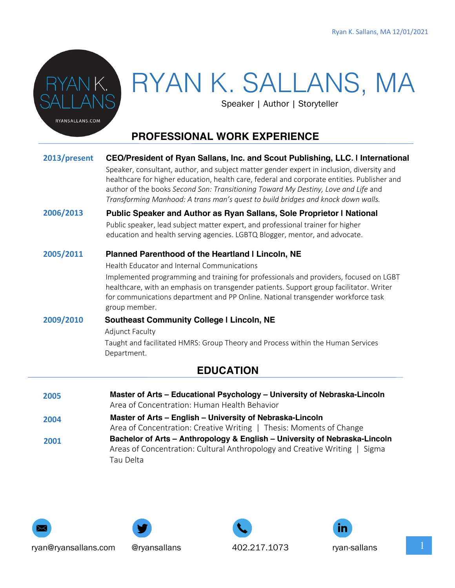

# RYAN K. SALLANS, MA

Speaker | Author | Storyteller

# **PROFESSIONAL WORK EXPERIENCE**

#### **EDUCATION 2013/present 2006/2013 2005/2011 2009/2010 CEO/President of Ryan Sallans, Inc. and Scout Publishing, LLC. | International** Speaker, consultant, author, and subject matter gender expert in inclusion, diversity and healthcare for higher education, health care, federal and corporate entities. Publisher and author of the books *Second Son: Transitioning Toward My Destiny, Love and Life* and *Transforming Manhood: A trans man's quest to build bridges and knock down walls.* **Public Speaker and Author as Ryan Sallans, Sole Proprietor | National** Public speaker, lead subject matter expert, and professional trainer for higher education and health serving agencies. LGBTQ Blogger, mentor, and advocate. **Planned Parenthood of the Heartland | Lincoln, NE** Health Educator and Internal Communications Implemented programming and training for professionals and providers, focused on LGBT healthcare, with an emphasis on transgender patients. Support group facilitator. Writer for communications department and PP Online. National transgender workforce task group member. **Southeast Community College | Lincoln, NE** Adjunct Faculty Taught and facilitated HMRS: Group Theory and Process within the Human Services Department.

| 2005 | Master of Arts – Educational Psychology – University of Nebraska-Lincoln   |
|------|----------------------------------------------------------------------------|
|      | Area of Concentration: Human Health Behavior                               |
| 2004 | Master of Arts - English - University of Nebraska-Lincoln                  |
|      | Area of Concentration: Creative Writing   Thesis: Moments of Change        |
| 2001 | Bachelor of Arts - Anthropology & English - University of Nebraska-Lincoln |
|      | Areas of Concentration: Cultural Anthropology and Creative Writing   Sigma |
|      | Tau Delta                                                                  |





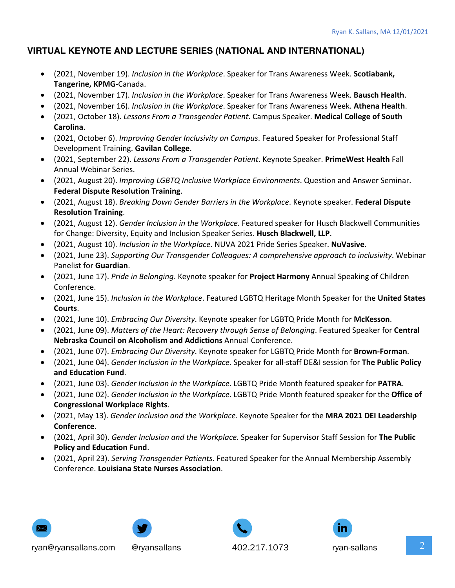### **VIRTUAL KEYNOTE AND LECTURE SERIES (NATIONAL AND INTERNATIONAL)**

- (2021, November 19). *Inclusion in the Workplace*. Speaker for Trans Awareness Week. **Scotiabank, Tangerine, KPMG**-Canada.
- (2021, November 17). *Inclusion in the Workplace*. Speaker for Trans Awareness Week. **Bausch Health**.
- (2021, November 16). *Inclusion in the Workplace*. Speaker for Trans Awareness Week. **Athena Health**.
- (2021, October 18). *Lessons From a Transgender Patient*. Campus Speaker. **Medical College of South Carolina**.
- (2021, October 6). *Improving Gender Inclusivity on Campus*. Featured Speaker for Professional Staff Development Training. **Gavilan College**.
- (2021, September 22). *Lessons From a Transgender Patient*. Keynote Speaker. **PrimeWest Health** Fall Annual Webinar Series.
- (2021, August 20). *Improving LGBTQ Inclusive Workplace Environments*. Question and Answer Seminar. **Federal Dispute Resolution Training**.
- (2021, August 18). *Breaking Down Gender Barriers in the Workplace*. Keynote speaker. **Federal Dispute Resolution Training**.
- (2021, August 12). *Gender Inclusion in the Workplace*. Featured speaker for Husch Blackwell Communities for Change: Diversity, Equity and Inclusion Speaker Series. **Husch Blackwell, LLP**.
- (2021, August 10). *Inclusion in the Workplace*. NUVA 2021 Pride Series Speaker. **NuVasive**.
- (2021, June 23). *Supporting Our Transgender Colleagues: A comprehensive approach to inclusivity*. Webinar Panelist for **Guardian**.
- (2021, June 17). *Pride in Belonging*. Keynote speaker for **Project Harmony** Annual Speaking of Children Conference.
- (2021, June 15). *Inclusion in the Workplace*. Featured LGBTQ Heritage Month Speaker for the **United States Courts**.
- (2021, June 10). *Embracing Our Diversity*. Keynote speaker for LGBTQ Pride Month for **McKesson**.
- (2021, June 09). *Matters of the Heart: Recovery through Sense of Belonging*. Featured Speaker for **Central Nebraska Council on Alcoholism and Addictions** Annual Conference.
- (2021, June 07). *Embracing Our Diversity*. Keynote speaker for LGBTQ Pride Month for **Brown-Forman**.
- (2021, June 04). *Gender Inclusion in the Workplace*. Speaker for all-staff DE&I session for **The Public Policy and Education Fund**.
- (2021, June 03). *Gender Inclusion in the Workplace*. LGBTQ Pride Month featured speaker for **PATRA**.
- (2021, June 02). *Gender Inclusion in the Workplace*. LGBTQ Pride Month featured speaker for the **Office of Congressional Workplace Rights**.
- (2021, May 13). *Gender Inclusion and the Workplace*. Keynote Speaker for the **MRA 2021 DEI Leadership Conference**.
- (2021, April 30). *Gender Inclusion and the Workplace*. Speaker for Supervisor Staff Session for **The Public Policy and Education Fund**.
- (2021, April 23). *Serving Transgender Patients*. Featured Speaker for the Annual Membership Assembly Conference. **Louisiana State Nurses Association**.







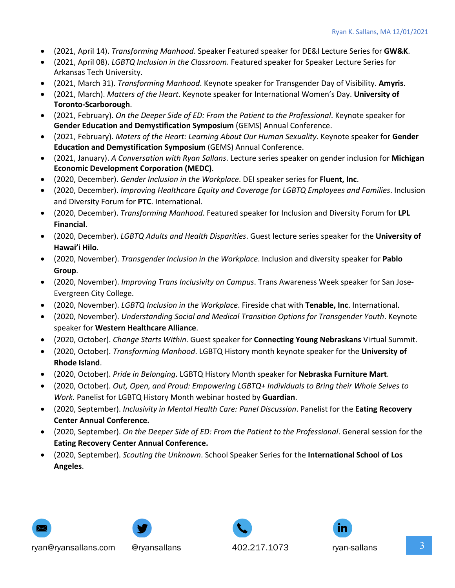- (2021, April 14). *Transforming Manhood*. Speaker Featured speaker for DE&I Lecture Series for **GW&K**.
- (2021, April 08). *LGBTQ Inclusion in the Classroom*. Featured speaker for Speaker Lecture Series for Arkansas Tech University.
- (2021, March 31). *Transforming Manhood*. Keynote speaker for Transgender Day of Visibility. **Amyris**.
- (2021, March). *Matters of the Heart*. Keynote speaker for International Women's Day. **University of Toronto-Scarborough**.
- (2021, February). *On the Deeper Side of ED: From the Patient to the Professional*. Keynote speaker for **Gender Education and Demystification Symposium** (GEMS) Annual Conference.
- (2021, February). *Maters of the Heart: Learning About Our Human Sexuality*. Keynote speaker for **Gender Education and Demystification Symposium** (GEMS) Annual Conference.
- (2021, January). *A Conversation with Ryan Sallans*. Lecture series speaker on gender inclusion for **Michigan Economic Development Corporation (MEDC)**.
- (2020, December). *Gender Inclusion in the Workplace*. DEI speaker series for **Fluent, Inc**.
- (2020, December). *Improving Healthcare Equity and Coverage for LGBTQ Employees and Families*. Inclusion and Diversity Forum for **PTC**. International.
- (2020, December). *Transforming Manhood*. Featured speaker for Inclusion and Diversity Forum for **LPL Financial**.
- (2020, December). *LGBTQ Adults and Health Disparities*. Guest lecture series speaker for the **University of Hawai'i Hilo**.
- (2020, November). *Transgender Inclusion in the Workplace*. Inclusion and diversity speaker for **Pablo Group**.
- (2020, November). *Improving Trans Inclusivity on Campus*. Trans Awareness Week speaker for San Jose-Evergreen City College.
- (2020, November). *LGBTQ Inclusion in the Workplace*. Fireside chat with **Tenable, Inc**. International.
- (2020, November). *Understanding Social and Medical Transition Options for Transgender Youth*. Keynote speaker for **Western Healthcare Alliance**.
- (2020, October). *Change Starts Within*. Guest speaker for **Connecting Young Nebraskans** Virtual Summit.
- (2020, October). *Transforming Manhood*. LGBTQ History month keynote speaker for the **University of Rhode Island**.
- (2020, October). *Pride in Belonging*. LGBTQ History Month speaker for **Nebraska Furniture Mart**.
- (2020, October). *Out, Open, and Proud: Empowering LGBTQ+ Individuals to Bring their Whole Selves to Work.* Panelist for LGBTQ History Month webinar hosted by **Guardian**.
- (2020, September). *Inclusivity in Mental Health Care: Panel Discussion*. Panelist for the **Eating Recovery Center Annual Conference.**
- (2020, September). *On the Deeper Side of ED: From the Patient to the Professional*. General session for the **Eating Recovery Center Annual Conference.**
- (2020, September). *Scouting the Unknown*. School Speaker Series for the **International School of Los Angeles**.







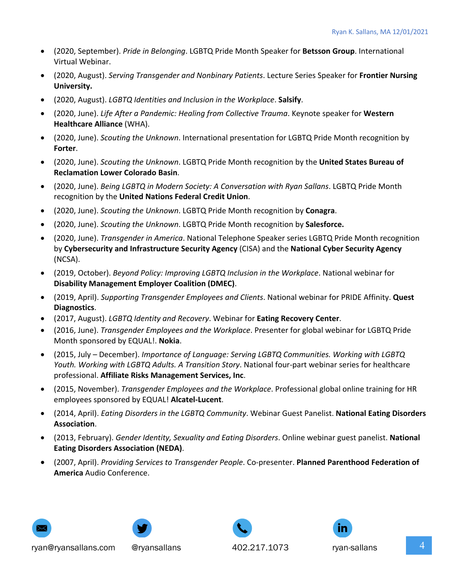- (2020, September). *Pride in Belonging*. LGBTQ Pride Month Speaker for **Betsson Group**. International Virtual Webinar.
- (2020, August). *Serving Transgender and Nonbinary Patients*. Lecture Series Speaker for **Frontier Nursing University.**
- (2020, August). *LGBTQ Identities and Inclusion in the Workplace*. **Salsify**.
- (2020, June). *Life After a Pandemic: Healing from Collective Trauma*. Keynote speaker for **Western Healthcare Alliance** (WHA).
- (2020, June). *Scouting the Unknown*. International presentation for LGBTQ Pride Month recognition by **Forter**.
- (2020, June). *Scouting the Unknown*. LGBTQ Pride Month recognition by the **United States Bureau of Reclamation Lower Colorado Basin**.
- (2020, June). *Being LGBTQ in Modern Society: A Conversation with Ryan Sallans*. LGBTQ Pride Month recognition by the **United Nations Federal Credit Union**.
- (2020, June). *Scouting the Unknown*. LGBTQ Pride Month recognition by **Conagra**.
- (2020, June). *Scouting the Unknown*. LGBTQ Pride Month recognition by **Salesforce.**
- (2020, June). *Transgender in America*. National Telephone Speaker series LGBTQ Pride Month recognition by **Cybersecurity and Infrastructure Security Agency** (CISA) and the **National Cyber Security Agency** (NCSA).
- (2019, October). *Beyond Policy: Improving LGBTQ Inclusion in the Workplace*. National webinar for **Disability Management Employer Coalition (DMEC)**.
- (2019, April). *Supporting Transgender Employees and Clients*. National webinar for PRIDE Affinity. **Quest Diagnostics**.
- (2017, August). *LGBTQ Identity and Recovery*. Webinar for **Eating Recovery Center**.
- (2016, June). *Transgender Employees and the Workplace*. Presenter for global webinar for LGBTQ Pride Month sponsored by EQUAL!. **Nokia**.
- (2015, July December). *Importance of Language: Serving LGBTQ Communities. Working with LGBTQ Youth. Working with LGBTQ Adults. A Transition Story*. National four-part webinar series for healthcare professional. **Affiliate Risks Management Services, Inc**.
- (2015, November). *Transgender Employees and the Workplace*. Professional global online training for HR employees sponsored by EQUAL! **Alcatel-Lucent**.
- (2014, April). *Eating Disorders in the LGBTQ Community*. Webinar Guest Panelist. **National Eating Disorders Association**.
- (2013, February). *Gender Identity, Sexuality and Eating Disorders*. Online webinar guest panelist. **National Eating Disorders Association (NEDA)**.
- (2007, April). *Providing Services to Transgender People*. Co-presenter. **Planned Parenthood Federation of America** Audio Conference.









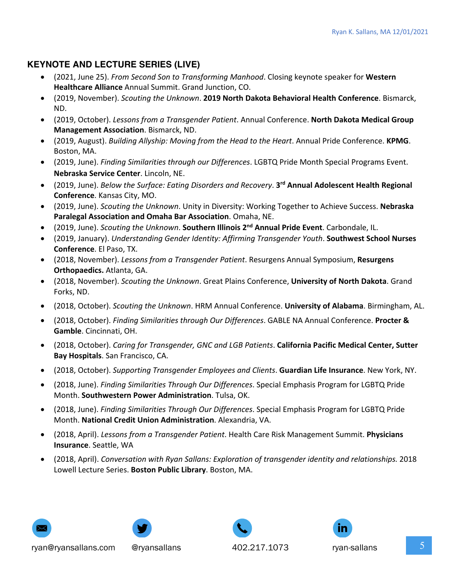# **KEYNOTE AND LECTURE SERIES (LIVE)**

- (2021, June 25). *From Second Son to Transforming Manhood*. Closing keynote speaker for **Western Healthcare Alliance** Annual Summit. Grand Junction, CO.
- (2019, November). *Scouting the Unknown*. **2019 North Dakota Behavioral Health Conference**. Bismarck, ND.
- (2019, October). *Lessons from a Transgender Patient*. Annual Conference. **North Dakota Medical Group Management Association**. Bismarck, ND.
- (2019, August). *Building Allyship: Moving from the Head to the Heart*. Annual Pride Conference. **KPMG**. Boston, MA.
- (2019, June). *Finding Similarities through our Differences*. LGBTQ Pride Month Special Programs Event. **Nebraska Service Center**. Lincoln, NE.
- (2019, June). *Below the Surface: Eating Disorders and Recovery*. **3rd Annual Adolescent Health Regional Conference**. Kansas City, MO.
- (2019, June). *Scouting the Unknown*. Unity in Diversity: Working Together to Achieve Success. **Nebraska Paralegal Association and Omaha Bar Association**. Omaha, NE.
- (2019, June). *Scouting the Unknown*. **Southern Illinois 2nd Annual Pride Event**. Carbondale, IL.
- (2019, January). *Understanding Gender Identity: Affirming Transgender Youth*. **Southwest School Nurses Conference**. El Paso, TX.
- (2018, November). *Lessons from a Transgender Patient*. Resurgens Annual Symposium, **Resurgens Orthopaedics.** Atlanta, GA.
- (2018, November). *Scouting the Unknown*. Great Plains Conference, **University of North Dakota**. Grand Forks, ND.
- (2018, October). *Scouting the Unknown*. HRM Annual Conference. **University of Alabama**. Birmingham, AL.
- (2018, October). *Finding Similarities through Our Differences*. GABLE NA Annual Conference. **Procter & Gamble**. Cincinnati, OH.
- (2018, October). *Caring for Transgender, GNC and LGB Patients*. **California Pacific Medical Center, Sutter Bay Hospitals**. San Francisco, CA.
- (2018, October). *Supporting Transgender Employees and Clients*. **Guardian Life Insurance**. New York, NY.
- (2018, June). *Finding Similarities Through Our Differences*. Special Emphasis Program for LGBTQ Pride Month. **Southwestern Power Administration**. Tulsa, OK.
- (2018, June). *Finding Similarities Through Our Differences*. Special Emphasis Program for LGBTQ Pride Month. **National Credit Union Administration**. Alexandria, VA.
- (2018, April). *Lessons from a Transgender Patient*. Health Care Risk Management Summit. **Physicians Insurance**. Seattle, WA
- (2018, April). *Conversation with Ryan Sallans: Exploration of transgender identity and relationships.* 2018 Lowell Lecture Series. **Boston Public Library**. Boston, MA.





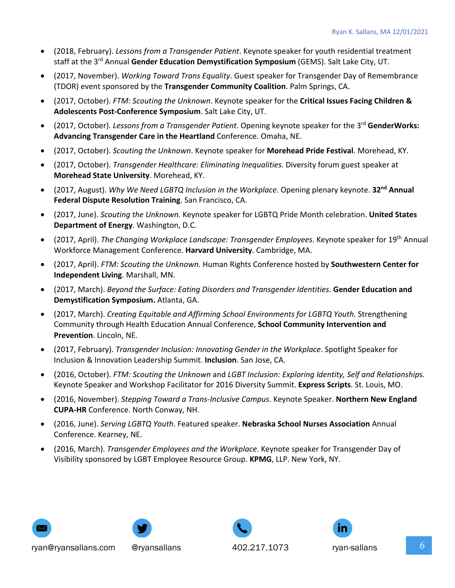- (2018, February). *Lessons from a Transgender Patient*. Keynote speaker for youth residential treatment staff at the 3rd Annual **Gender Education Demystification Symposium** (GEMS). Salt Lake City, UT.
- (2017, November). *Working Toward Trans Equality*. Guest speaker for Transgender Day of Remembrance (TDOR) event sponsored by the **Transgender Community Coalition**. Palm Springs, CA.
- (2017, October). *FTM: Scouting the Unknown*. Keynote speaker for the **Critical Issues Facing Children & Adolescents Post-Conference Symposium**. Salt Lake City, UT.
- (2017, October). *Lessons from a Transgender Patient*. Opening keynote speaker for the 3rd **GenderWorks: Advancing Transgender Care in the Heartland** Conference. Omaha, NE.
- (2017, October). *Scouting the Unknown*. Keynote speaker for **Morehead Pride Festival**. Morehead, KY.
- (2017, October). *Transgender Healthcare: Eliminating Inequalities*. Diversity forum guest speaker at **Morehead State University**. Morehead, KY.
- (2017, August). *Why We Need LGBTQ Inclusion in the Workplace*. Opening plenary keynote. **32nd Annual Federal Dispute Resolution Training**. San Francisco, CA.
- (2017, June). *Scouting the Unknown.* Keynote speaker for LGBTQ Pride Month celebration. **United States Department of Energy**. Washington, D.C.
- (2017, April). *The Changing Workplace Landscape: Transgender Employees*. Keynote speaker for 19th Annual Workforce Management Conference. **Harvard University**. Cambridge, MA.
- (2017, April). *FTM: Scouting the Unknown.* Human Rights Conference hosted by **Southwestern Center for Independent Living**. Marshall, MN.
- (2017, March). *Beyond the Surface: Eating Disorders and Transgender Identities*. **Gender Education and Demystification Symposium.** Atlanta, GA.
- (2017, March). *Creating Equitable and Affirming School Environments for LGBTQ Youth.* Strengthening Community through Health Education Annual Conference, **School Community Intervention and Prevention**. Lincoln, NE.
- (2017, February). *Transgender Inclusion: Innovating Gender in the Workplace*. Spotlight Speaker for Inclusion & Innovation Leadership Summit. **Inclusion**. San Jose, CA.
- (2016, October). *FTM: Scouting the Unknown* and *LGBT Inclusion: Exploring Identity, Self and Relationship*s. Keynote Speaker and Workshop Facilitator for 2016 Diversity Summit. **Express Scripts**. St. Louis, MO.
- (2016, November). *Stepping Toward a Trans-Inclusive Campus*. Keynote Speaker. **Northern New England CUPA-HR** Conference. North Conway, NH.
- (2016, June). *Serving LGBTQ Youth*. Featured speaker. **Nebraska School Nurses Association** Annual Conference. Kearney, NE.
- (2016, March). *Transgender Employees and the Workplace*. Keynote speaker for Transgender Day of Visibility sponsored by LGBT Employee Resource Group. **KPMG**, LLP. New York, NY.





ryan@ryansallans.com @ryansallans  $402.217.1073$  ryan-sallans  $6$ 



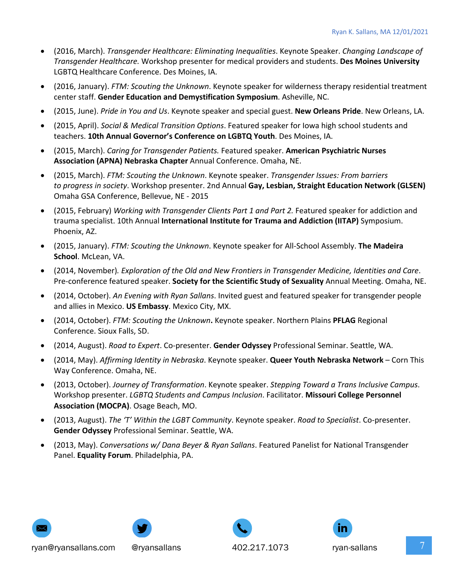- (2016, March). *Transgender Healthcare: Eliminating Inequalities*. Keynote Speaker. *Changing Landscape of Transgender Healthcare.* Workshop presenter for medical providers and students. **Des Moines University** LGBTQ Healthcare Conference. Des Moines, IA.
- (2016, January). *FTM: Scouting the Unknown*. Keynote speaker for wilderness therapy residential treatment center staff. **Gender Education and Demystification Symposium**. Asheville, NC.
- (2015, June). *Pride in You and Us*. Keynote speaker and special guest. **New Orleans Pride**. New Orleans, LA.
- (2015, April). *Social & Medical Transition Options*. Featured speaker for Iowa high school students and teachers. **10th Annual Governor's Conference on LGBTQ Youth**. Des Moines, IA.
- (2015, March). *Caring for Transgender Patients.* Featured speaker. **American Psychiatric Nurses Association (APNA) Nebraska Chapter** Annual Conference. Omaha, NE.
- (2015, March). *FTM: Scouting the Unknown*. Keynote speaker. *Transgender Issues: From barriers to progress in society*. Workshop presenter. 2nd Annual **Gay, Lesbian, Straight Education Network (GLSEN)** Omaha GSA Conference, Bellevue, NE - 2015
- (2015, February) *Working with Transgender Clients Part 1 and Part 2.* Featured speaker for addiction and trauma specialist. 10th Annual **International Institute for Trauma and Addiction (IITAP)** Symposium. Phoenix, AZ.
- (2015, January). *FTM: Scouting the Unknown*. Keynote speaker for All-School Assembly. **The Madeira School**. McLean, VA.
- (2014, November)*. Exploration of the Old and New Frontiers in Transgender Medicine, Identities and Care*. Pre-conference featured speaker. **Society for the Scientific Study of Sexuality** Annual Meeting. Omaha, NE.
- (2014, October). *An Evening with Ryan Sallans*. Invited guest and featured speaker for transgender people and allies in Mexico. **US Embassy**. Mexico City, MX.
- (2014, October). *FTM: Scouting the Unknown***.** Keynote speaker. Northern Plains **PFLAG** Regional Conference. Sioux Falls, SD.
- (2014, August). *Road to Expert*. Co-presenter. **Gender Odyssey** Professional Seminar. Seattle, WA.
- (2014, May). *Affirming Identity in Nebraska*. Keynote speaker. **Queer Youth Nebraska Network** Corn This Way Conference. Omaha, NE.
- (2013, October). *Journey of Transformation*. Keynote speaker. *Stepping Toward a Trans Inclusive Campus*. Workshop presenter. *LGBTQ Students and Campus Inclusion*. Facilitator. **Missouri College Personnel Association (MOCPA)**. Osage Beach, MO.
- (2013, August). *The 'T' Within the LGBT Community*. Keynote speaker. *Road to Specialist*. Co-presenter. **Gender Odyssey** Professional Seminar. Seattle, WA.
- (2013, May). *Conversations w/ Dana Beyer & Ryan Sallans*. Featured Panelist for National Transgender Panel. **Equality Forum**. Philadelphia, PA.









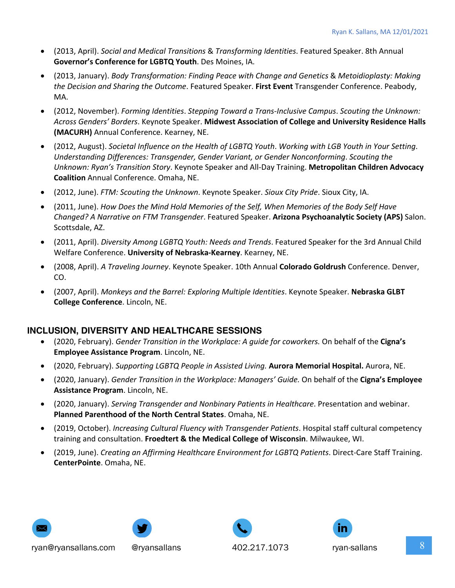- (2013, April). *Social and Medical Transitions* & *Transforming Identities*. Featured Speaker. 8th Annual **Governor's Conference for LGBTQ Youth**. Des Moines, IA.
- (2013, January). *Body Transformation: Finding Peace with Change and Genetics* & *Metoidioplasty: Making the Decision and Sharing the Outcome*. Featured Speaker. **First Event** Transgender Conference. Peabody, MA.
- (2012, November). *Forming Identities*. *Stepping Toward a Trans-Inclusive Campus*. *Scouting the Unknown: Across Genders' Borders*. Keynote Speaker. **Midwest Association of College and University Residence Halls (MACURH)** Annual Conference. Kearney, NE.
- (2012, August). *Societal Influence on the Health of LGBTQ Youth*. *Working with LGB Youth in Your Setting*. *Understanding Differences: Transgender, Gender Variant, or Gender Nonconforming*. *Scouting the Unknown: Ryan's Transition Story*. Keynote Speaker and All-Day Training. **Metropolitan Children Advocacy Coalition** Annual Conference. Omaha, NE.
- (2012, June). *FTM: Scouting the Unknown*. Keynote Speaker. *Sioux City Pride*. Sioux City, IA.
- (2011, June). *How Does the Mind Hold Memories of the Self, When Memories of the Body Self Have Changed? A Narrative on FTM Transgender*. Featured Speaker. **Arizona Psychoanalytic Society (APS)** Salon. Scottsdale, AZ.
- (2011, April). *Diversity Among LGBTQ Youth: Needs and Trends*. Featured Speaker for the 3rd Annual Child Welfare Conference. **University of Nebraska-Kearney**. Kearney, NE.
- (2008, April). *A Traveling Journey*. Keynote Speaker. 10th Annual **Colorado Goldrush** Conference. Denver, CO.
- (2007, April). *Monkeys and the Barrel: Exploring Multiple Identities*. Keynote Speaker. **Nebraska GLBT College Conference**. Lincoln, NE.

# **INCLUSION, DIVERSITY AND HEALTHCARE SESSIONS**

- (2020, February). *Gender Transition in the Workplace: A guide for coworkers.* On behalf of the **Cigna's Employee Assistance Program**. Lincoln, NE.
- (2020, February). *Supporting LGBTQ People in Assisted Living.* **Aurora Memorial Hospital.** Aurora, NE.
- (2020, January). *Gender Transition in the Workplace: Managers' Guide.* On behalf of the **Cigna's Employee Assistance Program**. Lincoln, NE.
- (2020, January). *Serving Transgender and Nonbinary Patients in Healthcare*. Presentation and webinar. **Planned Parenthood of the North Central States**. Omaha, NE.
- (2019, October). *Increasing Cultural Fluency with Transgender Patients*. Hospital staff cultural competency training and consultation. **Froedtert & the Medical College of Wisconsin**. Milwaukee, WI.
- (2019, June). *Creating an Affirming Healthcare Environment for LGBTQ Patients*. Direct-Care Staff Training. **CenterPointe**. Omaha, NE.









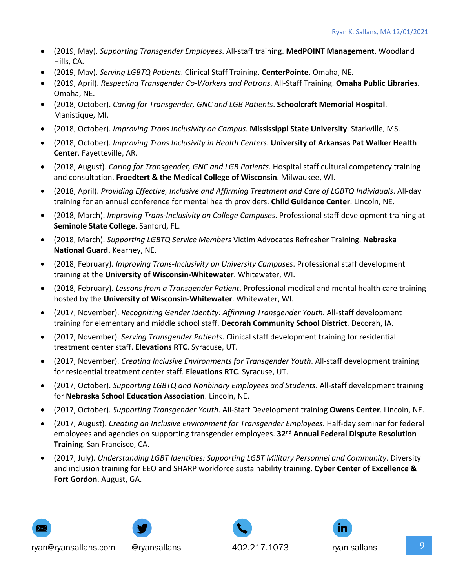- (2019, May). *Supporting Transgender Employees*. All-staff training. **MedPOINT Management**. Woodland Hills, CA.
- (2019, May). *Serving LGBTQ Patients*. Clinical Staff Training. **CenterPointe**. Omaha, NE.
- (2019, April). *Respecting Transgender Co-Workers and Patrons*. All-Staff Training. **Omaha Public Libraries**. Omaha, NE.
- (2018, October). *Caring for Transgender, GNC and LGB Patients*. **Schoolcraft Memorial Hospital**. Manistique, MI.
- (2018, October). *Improving Trans Inclusivity on Campus*. **Mississippi State University**. Starkville, MS.
- (2018, October). *Improving Trans Inclusivity in Health Centers*. **University of Arkansas Pat Walker Health Center**. Fayetteville, AR.
- (2018, August). *Caring for Transgender, GNC and LGB Patients*. Hospital staff cultural competency training and consultation. **Froedtert & the Medical College of Wisconsin**. Milwaukee, WI.
- (2018, April). *Providing Effective, Inclusive and Affirming Treatment and Care of LGBTQ Individuals*. All-day training for an annual conference for mental health providers. **Child Guidance Center**. Lincoln, NE.
- (2018, March). *Improving Trans-Inclusivity on College Campuses*. Professional staff development training at **Seminole State College**. Sanford, FL.
- (2018, March). *Supporting LGBTQ Service Members* Victim Advocates Refresher Training. **Nebraska National Guard.** Kearney, NE.
- (2018, February). *Improving Trans-Inclusivity on University Campuses*. Professional staff development training at the **University of Wisconsin-Whitewater**. Whitewater, WI.
- (2018, February). *Lessons from a Transgender Patient*. Professional medical and mental health care training hosted by the **University of Wisconsin-Whitewater**. Whitewater, WI.
- (2017, November). *Recognizing Gender Identity: Affirming Transgender Youth*. All-staff development training for elementary and middle school staff. **Decorah Community School District**. Decorah, IA.
- (2017, November). *Serving Transgender Patients*. Clinical staff development training for residential treatment center staff. **Elevations RTC**. Syracuse, UT.
- (2017, November). *Creating Inclusive Environments for Transgender Youth*. All-staff development training for residential treatment center staff. **Elevations RTC**. Syracuse, UT.
- (2017, October). *Supporting LGBTQ and Nonbinary Employees and Students*. All-staff development training for **Nebraska School Education Association**. Lincoln, NE.
- (2017, October). *Supporting Transgender Youth*. All-Staff Development training **Owens Center**. Lincoln, NE.
- (2017, August). *Creating an Inclusive Environment for Transgender Employees*. Half-day seminar for federal employees and agencies on supporting transgender employees. **32nd Annual Federal Dispute Resolution Training**. San Francisco, CA.
- (2017, July). *Understanding LGBT Identities: Supporting LGBT Military Personnel and Community*. Diversity and inclusion training for EEO and SHARP workforce sustainability training. **Cyber Center of Excellence & Fort Gordon**. August, GA.





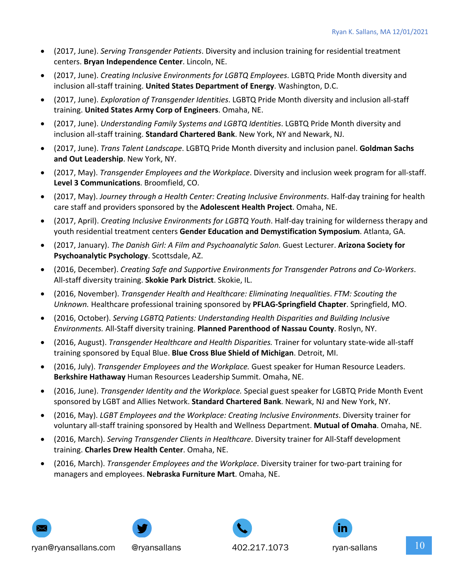- (2017, June). *Serving Transgender Patients*. Diversity and inclusion training for residential treatment centers. **Bryan Independence Center**. Lincoln, NE.
- (2017, June). *Creating Inclusive Environments for LGBTQ Employees*. LGBTQ Pride Month diversity and inclusion all-staff training. **United States Department of Energy**. Washington, D.C.
- (2017, June). *Exploration of Transgender Identities*. LGBTQ Pride Month diversity and inclusion all-staff training. **United States Army Corp of Engineers**. Omaha, NE.
- (2017, June). *Understanding Family Systems and LGBTQ Identities*. LGBTQ Pride Month diversity and inclusion all-staff training. **Standard Chartered Bank**. New York, NY and Newark, NJ.
- (2017, June). *Trans Talent Landscape*. LGBTQ Pride Month diversity and inclusion panel. **Goldman Sachs and Out Leadership**. New York, NY.
- (2017, May). *Transgender Employees and the Workplace*. Diversity and inclusion week program for all-staff. **Level 3 Communications**. Broomfield, CO.
- (2017, May). *Journey through a Health Center: Creating Inclusive Environments*. Half-day training for health care staff and providers sponsored by the **Adolescent Health Project**. Omaha, NE.
- (2017, April). *Creating Inclusive Environments for LGBTQ Youth*. Half-day training for wilderness therapy and youth residential treatment centers **Gender Education and Demystification Symposium**. Atlanta, GA.
- (2017, January). *The Danish Girl: A Film and Psychoanalytic Salon.* Guest Lecturer. **Arizona Society for Psychoanalytic Psychology**. Scottsdale, AZ.
- (2016, December). *Creating Safe and Supportive Environments for Transgender Patrons and Co-Workers*. All-staff diversity training. **Skokie Park District**. Skokie, IL.
- (2016, November). *Transgender Health and Healthcare: Eliminating Inequalities*. *FTM: Scouting the Unknown.* Healthcare professional training sponsored by **PFLAG-Springfield Chapter**. Springfield, MO.
- (2016, October). *Serving LGBTQ Patients: Understanding Health Disparities and Building Inclusive Environments.* All-Staff diversity training. **Planned Parenthood of Nassau County**. Roslyn, NY.
- (2016, August). *Transgender Healthcare and Health Disparities.* Trainer for voluntary state-wide all-staff training sponsored by Equal Blue. **Blue Cross Blue Shield of Michigan**. Detroit, MI.
- (2016, July). *Transgender Employees and the Workplace.* Guest speaker for Human Resource Leaders. **Berkshire Hathaway** Human Resources Leadership Summit. Omaha, NE.
- (2016, June). *Transgender Identity and the Workplace.* Special guest speaker for LGBTQ Pride Month Event sponsored by LGBT and Allies Network. **Standard Chartered Bank**. Newark, NJ and New York, NY.
- (2016, May). *LGBT Employees and the Workplace: Creating Inclusive Environments*. Diversity trainer for voluntary all-staff training sponsored by Health and Wellness Department. **Mutual of Omaha**. Omaha, NE.
- (2016, March). *Serving Transgender Clients in Healthcare*. Diversity trainer for All-Staff development training. **Charles Drew Health Center**. Omaha, NE.
- (2016, March). *Transgender Employees and the Workplace*. Diversity trainer for two-part training for managers and employees. **Nebraska Furniture Mart**. Omaha, NE.









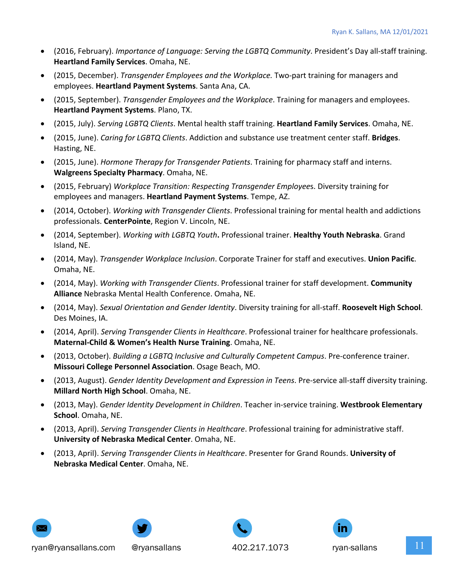- (2016, February). *Importance of Language: Serving the LGBTQ Community*. President's Day all-staff training. **Heartland Family Services**. Omaha, NE.
- (2015, December). *Transgender Employees and the Workplace.* Two-part training for managers and employees. **Heartland Payment Systems**. Santa Ana, CA.
- (2015, September). *Transgender Employees and the Workplace*. Training for managers and employees. **Heartland Payment Systems**. Plano, TX.
- (2015, July). *Serving LGBTQ Clients*. Mental health staff training. **Heartland Family Services**. Omaha, NE.
- (2015, June). *Caring for LGBTQ Clients*. Addiction and substance use treatment center staff. **Bridges**. Hasting, NE.
- (2015, June). *Hormone Therapy for Transgender Patients*. Training for pharmacy staff and interns. **Walgreens Specialty Pharmacy**. Omaha, NE.
- (2015, February) *Workplace Transition: Respecting Transgender Employee*s. Diversity training for employees and managers. **Heartland Payment Systems**. Tempe, AZ.
- (2014, October). *Working with Transgender Clients*. Professional training for mental health and addictions professionals. **CenterPointe**, Region V. Lincoln, NE.
- (2014, September). *Working with LGBTQ Youth***.** Professional trainer. **Healthy Youth Nebraska**. Grand Island, NE.
- (2014, May). *Transgender Workplace Inclusion*. Corporate Trainer for staff and executives. **Union Pacific**. Omaha, NE.
- (2014, May). *Working with Transgender Clients*. Professional trainer for staff development. **Community Alliance** Nebraska Mental Health Conference. Omaha, NE.
- (2014, May). *Sexual Orientation and Gender Identity*. Diversity training for all-staff. **Roosevelt High School**. Des Moines, IA.
- (2014, April). *Serving Transgender Clients in Healthcare*. Professional trainer for healthcare professionals. **Maternal-Child & Women's Health Nurse Training**. Omaha, NE.
- (2013, October). *Building a LGBTQ Inclusive and Culturally Competent Campus*. Pre-conference trainer. **Missouri College Personnel Association**. Osage Beach, MO.
- (2013, August). *Gender Identity Development and Expression in Teens*. Pre-service all-staff diversity training. **Millard North High School**. Omaha, NE.
- (2013, May). *Gender Identity Development in Children*. Teacher in-service training. **Westbrook Elementary School**. Omaha, NE.
- (2013, April). *Serving Transgender Clients in Healthcare*. Professional training for administrative staff. **University of Nebraska Medical Center**. Omaha, NE.
- (2013, April). *Serving Transgender Clients in Healthcare*. Presenter for Grand Rounds. **University of Nebraska Medical Center**. Omaha, NE.





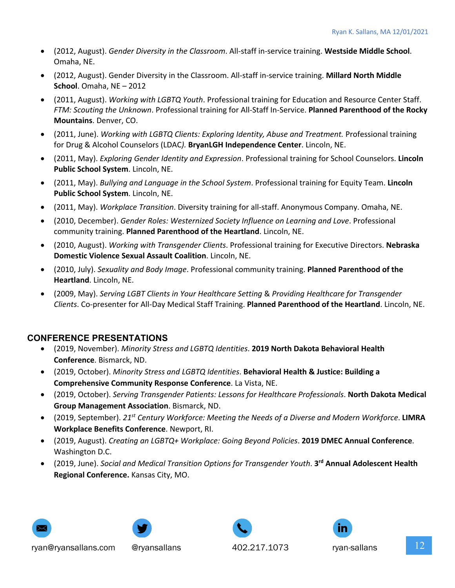- (2012, August). *Gender Diversity in the Classroom*. All-staff in-service training. **Westside Middle School**. Omaha, NE.
- (2012, August). Gender Diversity in the Classroom. All-staff in-service training. **Millard North Middle School**. Omaha, NE – 2012
- (2011, August). *Working with LGBTQ Youth*. Professional training for Education and Resource Center Staff. *FTM: Scouting the Unknown*. Professional training for All-Staff In-Service. **Planned Parenthood of the Rocky Mountains**. Denver, CO.
- (2011, June). *Working with LGBTQ Clients: Exploring Identity, Abuse and Treatment.* Professional training for Drug & Alcohol Counselors (LDAC*).* **BryanLGH Independence Center**. Lincoln, NE.
- (2011, May). *Exploring Gender Identity and Expression*. Professional training for School Counselors. **Lincoln Public School System**. Lincoln, NE.
- (2011, May). *Bullying and Language in the School System*. Professional training for Equity Team. **Lincoln Public School System**. Lincoln, NE.
- (2011, May). *Workplace Transition*. Diversity training for all-staff. Anonymous Company. Omaha, NE.
- (2010, December). *Gender Roles: Westernized Society Influence on Learning and Love*. Professional community training. **Planned Parenthood of the Heartland**. Lincoln, NE.
- (2010, August). *Working with Transgender Clients*. Professional training for Executive Directors. **Nebraska Domestic Violence Sexual Assault Coalition**. Lincoln, NE.
- (2010, July). *Sexuality and Body Image*. Professional community training. **Planned Parenthood of the Heartland**. Lincoln, NE.
- (2009, May). *Serving LGBT Clients in Your Healthcare Setting* & *Providing Healthcare for Transgender Clients*. Co-presenter for All-Day Medical Staff Training. **Planned Parenthood of the Heartland**. Lincoln, NE.

# **CONFERENCE PRESENTATIONS**

- (2019, November). *Minority Stress and LGBTQ Identities*. **2019 North Dakota Behavioral Health Conference**. Bismarck, ND.
- (2019, October). *Minority Stress and LGBTQ Identities*. **Behavioral Health & Justice: Building a Comprehensive Community Response Conference**. La Vista, NE.
- (2019, October). *Serving Transgender Patients: Lessons for Healthcare Professionals*. **North Dakota Medical Group Management Association**. Bismarck, ND.
- (2019, September). *21st Century Workforce: Meeting the Needs of a Diverse and Modern Workforce*. **LIMRA Workplace Benefits Conference**. Newport, RI.
- (2019, August). *Creating an LGBTQ+ Workplace: Going Beyond Policies*. **2019 DMEC Annual Conference**. Washington D.C.
- (2019, June). *Social and Medical Transition Options for Transgender Youth*. **3rd Annual Adolescent Health Regional Conference.** Kansas City, MO.









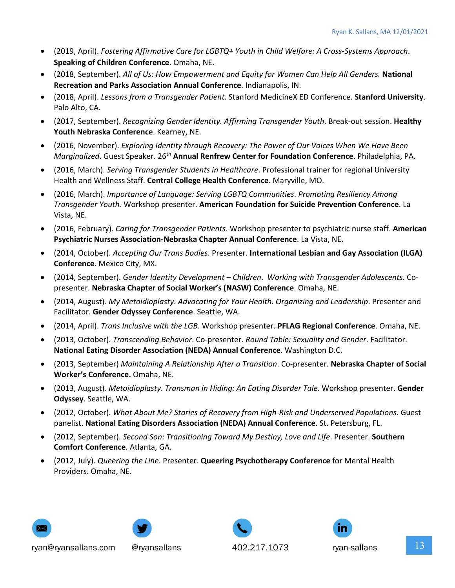- (2019, April). *Fostering Affirmative Care for LGBTQ+ Youth in Child Welfare: A Cross-Systems Approach*. **Speaking of Children Conference**. Omaha, NE.
- (2018, September). *All of Us: How Empowerment and Equity for Women Can Help All Genders.* **National Recreation and Parks Association Annual Conference**. Indianapolis, IN.
- (2018, April). *Lessons from a Transgender Patient.* Stanford MedicineX ED Conference. **Stanford University**. Palo Alto, CA.
- (2017, September). *Recognizing Gender Identity. Affirming Transgender Youth*. Break-out session. **Healthy Youth Nebraska Conference**. Kearney, NE.
- (2016, November). *Exploring Identity through Recovery: The Power of Our Voices When We Have Been Marginalized*. Guest Speaker. 26th **Annual Renfrew Center for Foundation Conference**. Philadelphia, PA.
- (2016, March). *Serving Transgender Students in Healthcare*. Professional trainer for regional University Health and Wellness Staff. **Central College Health Conference**. Maryville, MO.
- (2016, March). *Importance of Language: Serving LGBTQ Communities*. *Promoting Resiliency Among Transgender Youth.* Workshop presenter. **American Foundation for Suicide Prevention Conference**. La Vista, NE.
- (2016, February). *Caring for Transgender Patients*. Workshop presenter to psychiatric nurse staff. **American Psychiatric Nurses Association-Nebraska Chapter Annual Conference**. La Vista, NE.
- (2014, October). *Accepting Our Trans Bodies*. Presenter. **International Lesbian and Gay Association (ILGA) Conference**. Mexico City, MX.
- (2014, September). *Gender Identity Development – Children*. *Working with Transgender Adolescents*. Copresenter. **Nebraska Chapter of Social Worker's (NASW) Conference**. Omaha, NE.
- (2014, August). *My Metoidioplasty*. *Advocating for Your Health*. *Organizing and Leadership*. Presenter and Facilitator. **Gender Odyssey Conference**. Seattle, WA.
- (2014, April). *Trans Inclusive with the LGB*. Workshop presenter. **PFLAG Regional Conference**. Omaha, NE.
- (2013, October). *Transcending Behavior*. Co-presenter. *Round Table: Sexuality and Gender*. Facilitator. **National Eating Disorder Association (NEDA) Annual Conference**. Washington D.C.
- (2013, September) *Maintaining A Relationship After a Transition*. Co-presenter. **Nebraska Chapter of Social Worker's Conference.** Omaha, NE.
- (2013, August). *Metoidioplasty*. *Transman in Hiding: An Eating Disorder Tale*. Workshop presenter. **Gender Odyssey**. Seattle, WA.
- (2012, October). *What About Me? Stories of Recovery from High-Risk and Underserved Populations*. Guest panelist. **National Eating Disorders Association (NEDA) Annual Conference**. St. Petersburg, FL.
- (2012, September). *Second Son: Transitioning Toward My Destiny, Love and Life*. Presenter. **Southern Comfort Conference**. Atlanta, GA.
- (2012, July). *Queering the Line*. Presenter. **Queering Psychotherapy Conference** for Mental Health Providers. Omaha, NE.







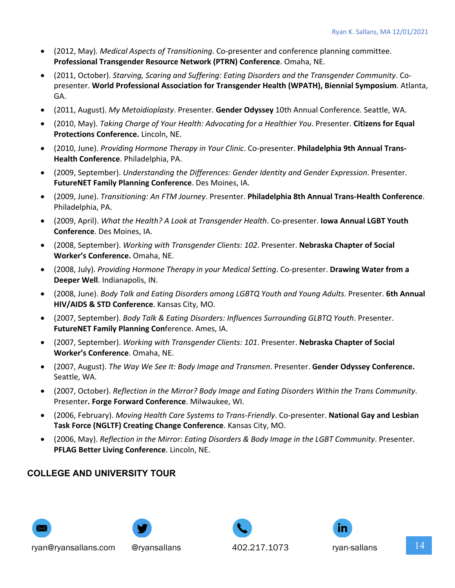- (2012, May). *Medical Aspects of Transitioning*. Co-presenter and conference planning committee. **Professional Transgender Resource Network (PTRN) Conference**. Omaha, NE.
- (2011, October). *Starving, Scaring and Suffering: Eating Disorders and the Transgender Community*. Copresenter. **World Professional Association for Transgender Health (WPATH), Biennial Symposium**. Atlanta, GA.
- (2011, August). *My Metoidioplasty*. Presenter*.* **Gender Odyssey** 10th Annual Conference. Seattle, WA.
- (2010, May). *Taking Charge of Your Health: Advocating for a Healthier You*. Presenter. **Citizens for Equal Protections Conference.** Lincoln, NE.
- (2010, June). *Providing Hormone Therapy in Your Clinic*. Co-presenter. **Philadelphia 9th Annual Trans-Health Conference**. Philadelphia, PA.
- (2009, September). *Understanding the Differences: Gender Identity and Gender Expression*. Presenter. **FutureNET Family Planning Conference**. Des Moines, IA.
- (2009, June). *Transitioning: An FTM Journey*. Presenter. **Philadelphia 8th Annual Trans-Health Conference**. Philadelphia, PA.
- (2009, April). *What the Health? A Look at Transgender Health*. Co-presenter. **Iowa Annual LGBT Youth Conference**. Des Moines, IA.
- (2008, September). *Working with Transgender Clients: 102*. Presenter. **Nebraska Chapter of Social Worker's Conference.** Omaha, NE.
- (2008, July). *Providing Hormone Therapy in your Medical Setting*. Co-presenter. **Drawing Water from a Deeper Well**. Indianapolis, IN.
- (2008, June). *Body Talk and Eating Disorders among LGBTQ Youth and Young Adults*. Presenter. **6th Annual HIV/AIDS & STD Conference**. Kansas City, MO.
- (2007, September). *Body Talk & Eating Disorders: Influences Surrounding GLBTQ Youth*. Presenter. **FutureNET Family Planning Con**ference. Ames, IA.
- (2007, September). *Working with Transgender Clients: 101*. Presenter. **Nebraska Chapter of Social Worker's Conference**. Omaha, NE.
- (2007, August). *The Way We See It: Body Image and Transmen*. Presenter. **Gender Odyssey Conference.** Seattle, WA.
- (2007, October). *Reflection in the Mirror? Body Image and Eating Disorders Within the Trans Community*. Presenter**. Forge Forward Conference**. Milwaukee, WI.
- (2006, February). *Moving Health Care Systems to Trans-Friendly*. Co-presenter. **National Gay and Lesbian Task Force (NGLTF) Creating Change Conference**. Kansas City, MO.
- (2006, May). *Reflection in the Mirror: Eating Disorders & Body Image in the LGBT Community*. Presenter. **PFLAG Better Living Conference**. Lincoln, NE.

# **COLLEGE AND UNIVERSITY TOUR**









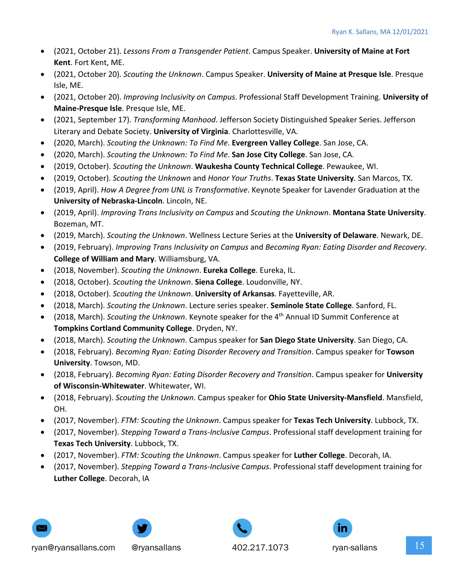- (2021, October 21). *Lessons From a Transgender Patient*. Campus Speaker. **University of Maine at Fort Kent**. Fort Kent, ME.
- (2021, October 20). *Scouting the Unknown*. Campus Speaker. **University of Maine at Presque Isle**. Presque Isle, ME.
- (2021, October 20). *Improving Inclusivity on Campus*. Professional Staff Development Training. **University of Maine-Presque Isle**. Presque Isle, ME.
- (2021, September 17). *Transforming Manhood*. Jefferson Society Distinguished Speaker Series. Jefferson Literary and Debate Society. **University of Virginia**. Charlottesville, VA.
- (2020, March). *Scouting the Unknown: To Find Me*. **Evergreen Valley College**. San Jose, CA.
- (2020, March). *Scouting the Unknown: To Find Me*. **San Jose City College**. San Jose, CA.
- (2019, October). *Scouting the Unknown*. **Waukesha County Technical College**. Pewaukee, WI.
- (2019, October). *Scouting the Unknown* and *Honor Your Truths*. **Texas State University**. San Marcos, TX.
- (2019, April). *How A Degree from UNL is Transformative*. Keynote Speaker for Lavender Graduation at the **University of Nebraska-Lincoln**. Lincoln, NE.
- (2019, April). *Improving Trans Inclusivity on Campus* and *Scouting the Unknown*. **Montana State University**. Bozeman, MT.
- (2019, March). *Scouting the Unknown*. Wellness Lecture Series at the **University of Delaware**. Newark, DE.
- (2019, February). *Improving Trans Inclusivity on Campus* and *Becoming Ryan: Eating Disorder and Recovery*. **College of William and Mary**. Williamsburg, VA.
- (2018, November). *Scouting the Unknown*. **Eureka College**. Eureka, IL.
- (2018, October). *Scouting the Unknown*. **Siena College**. Loudonville, NY.
- (2018, October). *Scouting the Unknown*. **University of Arkansas**. Fayetteville, AR.
- (2018, March). *Scouting the Unknown*. Lecture series speaker. **Seminole State College**. Sanford, FL.
- (2018, March). *Scouting the Unknown*. Keynote speaker for the 4th Annual ID Summit Conference at **Tompkins Cortland Community College**. Dryden, NY.
- (2018, March). *Scouting the Unknown*. Campus speaker for **San Diego State University**. San Diego, CA.
- (2018, February). *Becoming Ryan: Eating Disorder Recovery and Transition*. Campus speaker for **Towson University**. Towson, MD.
- (2018, February). *Becoming Ryan: Eating Disorder Recovery and Transition*. Campus speaker for **University of Wisconsin-Whitewater**. Whitewater, WI.
- (2018, February). *Scouting the Unknown*. Campus speaker for **Ohio State University-Mansfield**. Mansfield, OH.
- (2017, November). *FTM: Scouting the Unknown*. Campus speaker for **Texas Tech University**. Lubbock, TX.
- (2017, November). *Stepping Toward a Trans-Inclusive Campus*. Professional staff development training for **Texas Tech University**. Lubbock, TX.
- (2017, November). *FTM: Scouting the Unknown*. Campus speaker for **Luther College**. Decorah, IA.
- (2017, November). *Stepping Toward a Trans-Inclusive Campus*. Professional staff development training for **Luther College**. Decorah, IA







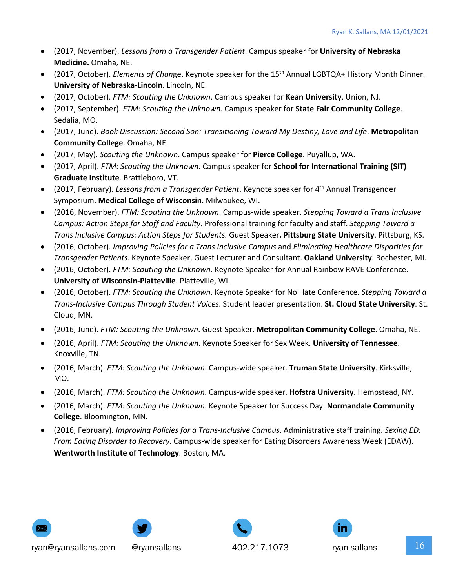- (2017, November). *Lessons from a Transgender Patient*. Campus speaker for **University of Nebraska Medicine.** Omaha, NE.
- (2017, October). *Elements of Chan*ge. Keynote speaker for the 15th Annual LGBTQA+ History Month Dinner. **University of Nebraska-Lincoln**. Lincoln, NE.
- (2017, October). *FTM: Scouting the Unknown*. Campus speaker for **Kean University**. Union, NJ.
- (2017, September). *FTM: Scouting the Unknown*. Campus speaker for **State Fair Community College**. Sedalia, MO.
- (2017, June). *Book Discussion: Second Son: Transitioning Toward My Destiny, Love and Life*. **Metropolitan Community College**. Omaha, NE.
- (2017, May). *Scouting the Unknown*. Campus speaker for **Pierce College**. Puyallup, WA.
- (2017, April). *FTM: Scouting the Unknown*. Campus speaker for **School for International Training (SIT) Graduate Institute**. Brattleboro, VT.
- (2017, February). *Lessons from a Transgender Patient*. Keynote speaker for 4th Annual Transgender Symposium. **Medical College of Wisconsin**. Milwaukee, WI.
- (2016, November). *FTM: Scouting the Unknown*. Campus-wide speaker. *Stepping Toward a Trans Inclusive Campus: Action Steps for Staff and Faculty*. Professional training for faculty and staff. *Stepping Toward a Trans Inclusive Campus: Action Steps for Students.* Guest Speaker**. Pittsburg State University**. Pittsburg, KS.
- (2016, October). *Improving Policies for a Trans Inclusive Campus* and *Eliminating Healthcare Disparities for Transgender Patients*. Keynote Speaker, Guest Lecturer and Consultant. **Oakland University**. Rochester, MI.
- (2016, October). *FTM: Scouting the Unknown*. Keynote Speaker for Annual Rainbow RAVE Conference. **University of Wisconsin-Platteville**. Platteville, WI.
- (2016, October). *FTM: Scouting the Unknown*. Keynote Speaker for No Hate Conference. *Stepping Toward a Trans-Inclusive Campus Through Student Voices*. Student leader presentation. **St. Cloud State University**. St. Cloud, MN.
- (2016, June). *FTM: Scouting the Unknown*. Guest Speaker. **Metropolitan Community College**. Omaha, NE.
- (2016, April). *FTM: Scouting the Unknown*. Keynote Speaker for Sex Week. **University of Tennessee**. Knoxville, TN.
- (2016, March). *FTM: Scouting the Unknown*. Campus-wide speaker. **Truman State University**. Kirksville, MO.
- (2016, March). *FTM: Scouting the Unknown*. Campus-wide speaker. **Hofstra University**. Hempstead, NY.
- (2016, March). *FTM: Scouting the Unknown*. Keynote Speaker for Success Day. **Normandale Community College**. Bloomington, MN.
- (2016, February). *Improving Policies for a Trans-Inclusive Campus*. Administrative staff training. *Sexing ED: From Eating Disorder to Recovery*. Campus-wide speaker for Eating Disorders Awareness Week (EDAW). **Wentworth Institute of Technology**. Boston, MA.









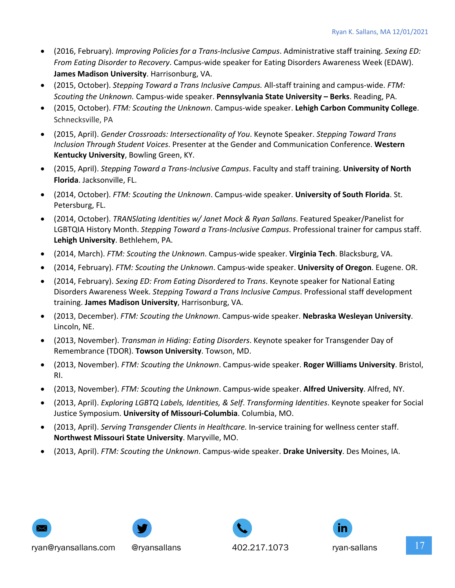- (2016, February). *Improving Policies for a Trans-Inclusive Campus*. Administrative staff training. *Sexing ED: From Eating Disorder to Recovery*. Campus-wide speaker for Eating Disorders Awareness Week (EDAW). **James Madison University**. Harrisonburg, VA.
- (2015, October). *Stepping Toward a Trans Inclusive Campus.* All-staff training and campus-wide. *FTM: Scouting the Unknown.* Campus-wide speaker. **Pennsylvania State University – Berks**. Reading, PA.
- (2015, October). *FTM: Scouting the Unknown*. Campus-wide speaker. **Lehigh Carbon Community College**. Schnecksville, PA
- (2015, April). *Gender Crossroads: Intersectionality of You*. Keynote Speaker. *Stepping Toward Trans Inclusion Through Student Voices*. Presenter at the Gender and Communication Conference. **Western Kentucky University**, Bowling Green, KY.
- (2015, April). *Stepping Toward a Trans-Inclusive Campus*. Faculty and staff training. **University of North Florida**. Jacksonville, FL.
- (2014, October). *FTM: Scouting the Unknown*. Campus-wide speaker. **University of South Florida**. St. Petersburg, FL.
- (2014, October). *TRANSlating Identities w/ Janet Mock & Ryan Sallans*. Featured Speaker/Panelist for LGBTQIA History Month. *Stepping Toward a Trans-Inclusive Campus*. Professional trainer for campus staff. **Lehigh University**. Bethlehem, PA.
- (2014, March). *FTM: Scouting the Unknown*. Campus-wide speaker. **Virginia Tech**. Blacksburg, VA.
- (2014, February). *FTM: Scouting the Unknown*. Campus-wide speaker. **University of Oregon**. Eugene. OR.
- (2014, February). *Sexing ED: From Eating Disordered to Trans*. Keynote speaker for National Eating Disorders Awareness Week. *Stepping Toward a Trans Inclusive Campus*. Professional staff development training. **James Madison University**, Harrisonburg, VA.
- (2013, December). *FTM: Scouting the Unknown*. Campus-wide speaker. **Nebraska Wesleyan University**. Lincoln, NE.
- (2013, November). *Transman in Hiding: Eating Disorders*. Keynote speaker for Transgender Day of Remembrance (TDOR). **Towson University**. Towson, MD.
- (2013, November). *FTM: Scouting the Unknown*. Campus-wide speaker. **Roger Williams University**. Bristol, RI.
- (2013, November). *FTM: Scouting the Unknown*. Campus-wide speaker. **Alfred University**. Alfred, NY.
- (2013, April). *Exploring LGBTQ Labels, Identities, & Self*. *Transforming Identities*. Keynote speaker for Social Justice Symposium. **University of Missouri-Columbia**. Columbia, MO.
- (2013, April). *Serving Transgender Clients in Healthcare.* In-service training for wellness center staff. **Northwest Missouri State University**. Maryville, MO.
- (2013, April). *FTM: Scouting the Unknown*. Campus-wide speaker. **Drake University**. Des Moines, IA.









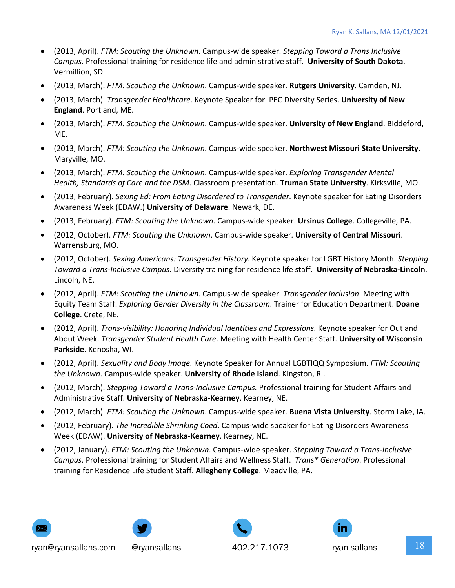- (2013, April). *FTM: Scouting the Unknown*. Campus-wide speaker. *Stepping Toward a Trans Inclusive Campus*. Professional training for residence life and administrative staff. **University of South Dakota**. Vermillion, SD.
- (2013, March). *FTM: Scouting the Unknown*. Campus-wide speaker. **Rutgers University**. Camden, NJ.
- (2013, March). *Transgender Healthcare*. Keynote Speaker for IPEC Diversity Series. **University of New England**. Portland, ME.
- (2013, March). *FTM: Scouting the Unknown*. Campus-wide speaker. **University of New England**. Biddeford, ME.
- (2013, March). *FTM: Scouting the Unknown*. Campus-wide speaker. **Northwest Missouri State University**. Maryville, MO.
- (2013, March). *FTM: Scouting the Unknown*. Campus-wide speaker. *Exploring Transgender Mental Health, Standards of Care and the DSM*. Classroom presentation. **Truman State University**. Kirksville, MO.
- (2013, February). *Sexing Ed: From Eating Disordered to Transgender*. Keynote speaker for Eating Disorders Awareness Week (EDAW.) **University of Delaware**. Newark, DE.
- (2013, February). *FTM: Scouting the Unknown*. Campus-wide speaker. **Ursinus College**. Collegeville, PA.
- (2012, October). *FTM: Scouting the Unknown*. Campus-wide speaker. **University of Central Missouri**. Warrensburg, MO.
- (2012, October). *Sexing Americans: Transgender History*. Keynote speaker for LGBT History Month. *Stepping Toward a Trans-Inclusive Campus*. Diversity training for residence life staff. **University of Nebraska-Lincoln**. Lincoln, NE.
- (2012, April). *FTM: Scouting the Unknown*. Campus-wide speaker. *Transgender Inclusion*. Meeting with Equity Team Staff. *Exploring Gender Diversity in the Classroom*. Trainer for Education Department. **Doane College**. Crete, NE.
- (2012, April). *Trans-visibility: Honoring Individual Identities and Expressions*. Keynote speaker for Out and About Week. *Transgender Student Health Care*. Meeting with Health Center Staff. **University of Wisconsin Parkside**. Kenosha, WI.
- (2012, April). *Sexuality and Body Image*. Keynote Speaker for Annual LGBTIQQ Symposium. *FTM: Scouting the Unknown*. Campus-wide speaker. **University of Rhode Island**. Kingston, RI.
- (2012, March). *Stepping Toward a Trans-Inclusive Campus.* Professional training for Student Affairs and Administrative Staff. **University of Nebraska-Kearney**. Kearney, NE.
- (2012, March). *FTM: Scouting the Unknown*. Campus-wide speaker. **Buena Vista University**. Storm Lake, IA.
- (2012, February). *The Incredible Shrinking Coed*. Campus-wide speaker for Eating Disorders Awareness Week (EDAW). **University of Nebraska-Kearney**. Kearney, NE.
- (2012, January). *FTM: Scouting the Unknown*. Campus-wide speaker. *Stepping Toward a Trans-Inclusive Campus*. Professional training for Student Affairs and Wellness Staff. *Trans\* Generation*. Professional training for Residence Life Student Staff. **Allegheny College**. Meadville, PA.









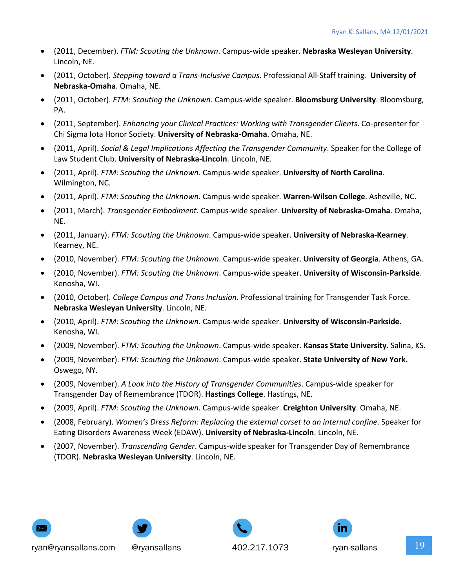- (2011, December). *FTM: Scouting the Unknown*. Campus-wide speaker. **Nebraska Wesleyan University**. Lincoln, NE.
- (2011, October). *Stepping toward a Trans-Inclusive Campus.* Professional All-Staff training*.* **University of Nebraska-Omaha**. Omaha, NE.
- (2011, October). *FTM: Scouting the Unknown*. Campus-wide speaker. **Bloomsburg University**. Bloomsburg, PA.
- (2011, September). *Enhancing your Clinical Practices: Working with Transgender Clients*. Co-presenter for Chi Sigma Iota Honor Society. **University of Nebraska-Omaha**. Omaha, NE.
- (2011, April). *Social & Legal Implications Affecting the Transgender Community*. Speaker for the College of Law Student Club. **University of Nebraska-Lincoln**. Lincoln, NE.
- (2011, April). *FTM: Scouting the Unknown*. Campus-wide speaker. **University of North Carolina**. Wilmington, NC.
- (2011, April). *FTM: Scouting the Unknown*. Campus-wide speaker. **Warren-Wilson College**. Asheville, NC.
- (2011, March). *Transgender Embodiment*. Campus-wide speaker. **University of Nebraska-Omaha**. Omaha, NE.
- (2011, January). *FTM: Scouting the Unknown*. Campus-wide speaker. **University of Nebraska-Kearney**. Kearney, NE.
- (2010, November). *FTM: Scouting the Unknown*. Campus-wide speaker. **University of Georgia**. Athens, GA.
- (2010, November). *FTM: Scouting the Unknown*. Campus-wide speaker. **University of Wisconsin-Parkside**. Kenosha, WI.
- (2010, October). *College Campus and Trans Inclusion*. Professional training for Transgender Task Force. **Nebraska Wesleyan University**. Lincoln, NE.
- (2010, April). *FTM: Scouting the Unknown*. Campus-wide speaker. **University of Wisconsin-Parkside**. Kenosha, WI.
- (2009, November). *FTM: Scouting the Unknown*. Campus-wide speaker. **Kansas State University**. Salina, KS.
- (2009, November). *FTM: Scouting the Unknown*. Campus-wide speaker. **State University of New York.** Oswego, NY.
- (2009, November). *A Look into the History of Transgender Communities*. Campus-wide speaker for Transgender Day of Remembrance (TDOR). **Hastings College**. Hastings, NE.
- (2009, April). *FTM: Scouting the Unknown*. Campus-wide speaker. **Creighton University**. Omaha, NE.
- (2008, February). *Women's Dress Reform: Replacing the external corset to an internal confine*. Speaker for Eating Disorders Awareness Week (EDAW). **University of Nebraska-Lincoln**. Lincoln, NE.
- (2007, November). *Transcending Gender*. Campus-wide speaker for Transgender Day of Remembrance (TDOR). **Nebraska Wesleyan University**. Lincoln, NE.







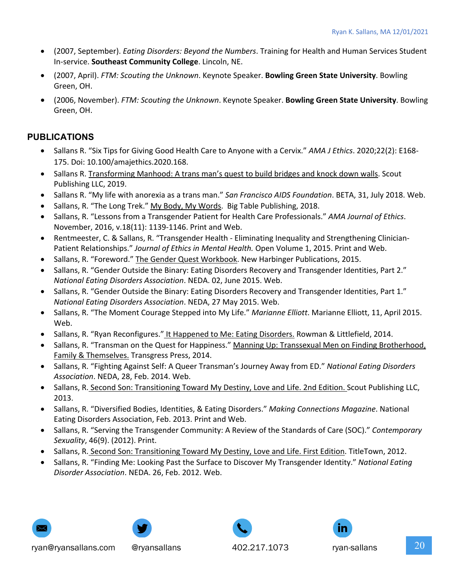- (2007, September). *Eating Disorders: Beyond the Numbers*. Training for Health and Human Services Student In-service. **Southeast Community College**. Lincoln, NE.
- (2007, April). *FTM: Scouting the Unknown*. Keynote Speaker. **Bowling Green State University**. Bowling Green, OH.
- (2006, November). *FTM: Scouting the Unknown*. Keynote Speaker. **Bowling Green State University**. Bowling Green, OH.

#### **PUBLICATIONS**

- Sallans R. "Six Tips for Giving Good Health Care to Anyone with a Cervix." *AMA J Ethics*. 2020;22(2): E168- 175. Doi: 10.100/amajethics.2020.168.
- Sallans R. Transforming Manhood: A trans man's quest to build bridges and knock down walls. Scout Publishing LLC, 2019.
- Sallans R. "My life with anorexia as a trans man." *San Francisco AIDS Foundation*. BETA, 31, July 2018. Web.
- Sallans, R. "The Long Trek." My Body, My Words. Big Table Publishing, 2018.
- Sallans, R. "Lessons from a Transgender Patient for Health Care Professionals." *AMA Journal of Ethics*. November, 2016, v.18(11): 1139-1146. Print and Web.
- Rentmeester, C. & Sallans, R. "Transgender Health Eliminating Inequality and Strengthening Clinician-Patient Relationships." *Journal of Ethics in Mental Health.* Open Volume 1, 2015. Print and Web.
- Sallans, R. "Foreword." The Gender Quest Workbook. New Harbinger Publications, 2015.
- Sallans, R. "Gender Outside the Binary: Eating Disorders Recovery and Transgender Identities, Part 2." *National Eating Disorders Association*. NEDA. 02, June 2015. Web.
- Sallans, R. "Gender Outside the Binary: Eating Disorders Recovery and Transgender Identities, Part 1." *National Eating Disorders Association*. NEDA, 27 May 2015. Web.
- Sallans, R. "The Moment Courage Stepped into My Life." *Marianne Elliott*. Marianne Elliott, 11, April 2015. Web.
- Sallans, R. "Ryan Reconfigures." It Happened to Me: Eating Disorders. Rowman & Littlefield, 2014.
- Sallans, R. "Transman on the Quest for Happiness." Manning Up: Transsexual Men on Finding Brotherhood, Family & Themselves. Transgress Press, 2014.
- Sallans, R. "Fighting Against Self: A Queer Transman's Journey Away from ED." *National Eating Disorders Association*. NEDA, 28, Feb. 2014. Web.
- Sallans, R. Second Son: Transitioning Toward My Destiny, Love and Life. 2nd Edition. Scout Publishing LLC, 2013.
- Sallans, R. "Diversified Bodies, Identities, & Eating Disorders." *Making Connections Magazine*. National Eating Disorders Association, Feb. 2013. Print and Web.
- Sallans, R. "Serving the Transgender Community: A Review of the Standards of Care (SOC)." *Contemporary Sexuality*, 46(9). (2012). Print.
- Sallans, R. Second Son: Transitioning Toward My Destiny, Love and Life. First Edition. TitleTown, 2012.
- Sallans, R. "Finding Me: Looking Past the Surface to Discover My Transgender Identity." *National Eating Disorder Association*. NEDA. 26, Feb. 2012. Web.







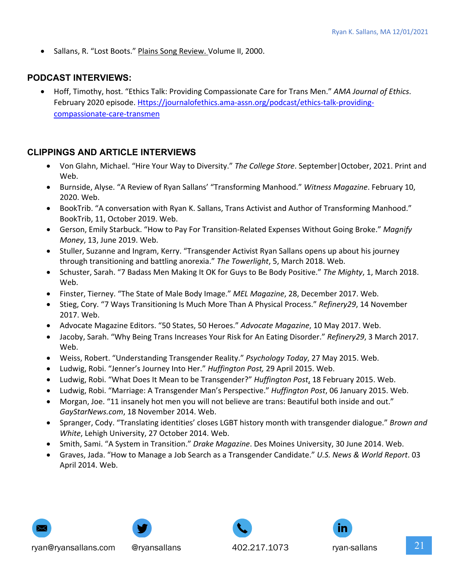• Sallans, R. "Lost Boots." Plains Song Review. Volume II, 2000.

#### **PODCAST INTERVIEWS:**

• Hoff, Timothy, host. "Ethics Talk: Providing Compassionate Care for Trans Men." *AMA Journal of Ethics*. February 2020 episode. Https://journalofethics.ama-assn.org/podcast/ethics-talk-providingcompassionate-care-transmen

#### **CLIPPINGS AND ARTICLE INTERVIEWS**

- Von Glahn, Michael. "Hire Your Way to Diversity." *The College Store*. September|October, 2021. Print and Web.
- Burnside, Alyse. "A Review of Ryan Sallans' "Transforming Manhood." *Witness Magazine*. February 10, 2020. Web.
- BookTrib. "A conversation with Ryan K. Sallans, Trans Activist and Author of Transforming Manhood." BookTrib, 11, October 2019. Web.
- Gerson, Emily Starbuck. "How to Pay For Transition-Related Expenses Without Going Broke." *Magnify Money*, 13, June 2019. Web.
- Stuller, Suzanne and Ingram, Kerry. "Transgender Activist Ryan Sallans opens up about his journey through transitioning and battling anorexia." *The Towerlight*, 5, March 2018. Web.
- Schuster, Sarah. "7 Badass Men Making It OK for Guys to Be Body Positive." *The Mighty*, 1, March 2018. Web.
- Finster, Tierney. "The State of Male Body Image." *MEL Magazine*, 28, December 2017. Web.
- Stieg, Cory. "7 Ways Transitioning Is Much More Than A Physical Process." *Refinery29*, 14 November 2017. Web.
- Advocate Magazine Editors. "50 States, 50 Heroes." *Advocate Magazine*, 10 May 2017. Web.
- Jacoby, Sarah. "Why Being Trans Increases Your Risk for An Eating Disorder." *Refinery29*, 3 March 2017. Web.
- Weiss, Robert. "Understanding Transgender Reality." *Psychology Today*, 27 May 2015. Web.
- Ludwig, Robi. "Jenner's Journey Into Her." *Huffington Post,* 29 April 2015. Web.
- Ludwig, Robi. "What Does It Mean to be Transgender?" *Huffington Post*, 18 February 2015. Web.
- Ludwig, Robi. "Marriage: A Transgender Man's Perspective." *Huffington Post*, 06 January 2015. Web.
- Morgan, Joe. "11 insanely hot men you will not believe are trans: Beautiful both inside and out." *GayStarNews.com*, 18 November 2014. Web.
- Spranger, Cody. "Translating identities' closes LGBT history month with transgender dialogue." *Brown and White*, Lehigh University, 27 October 2014. Web.
- Smith, Sami. "A System in Transition." *Drake Magazine*. Des Moines University, 30 June 2014. Web.
- Graves, Jada. "How to Manage a Job Search as a Transgender Candidate." *U.S. News & World Report*. 03 April 2014. Web.









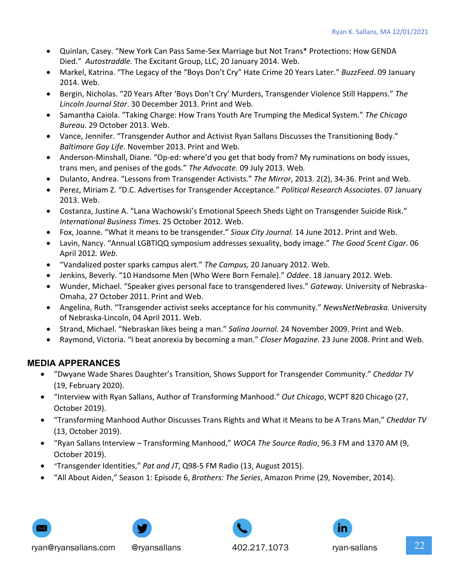- Quinlan, Casey. "New York Can Pass Same-Sex Marriage but Not Trans\* Protections: How GENDA Died." *Autostraddle.* The Excitant Group, LLC, 20 January 2014. Web.
- Markel, Katrina. "The Legacy of the "Boys Don't Cry" Hate Crime 20 Years Later." *BuzzFeed*. 09 January 2014. Web.
- Bergin, Nicholas. "20 Years After 'Boys Don't Cry' Murders, Transgender Violence Still Happens." *The Lincoln Journal Star*. 30 December 2013. Print and Web.
- Samantha Caiola. "Taking Charge: How Trans Youth Are Trumping the Medical System." *The Chicago Bureau*. 29 October 2013. Web.
- Vance, Jennifer. "Transgender Author and Activist Ryan Sallans Discusses the Transitioning Body." *Baltimore Gay Life.* November 2013. Print and Web.
- Anderson-Minshall, Diane. "Op-ed: where'd you get that body from? My ruminations on body issues, trans men, and penises of the gods." *The Advocate.* 09 July 2013. Web*.*
- Dulanto, Andrea. "Lessons from Transgender Activists." *The Mirror*, 2013. 2(2), 34-36. Print and Web.
- Perez, Miriam Z. "D.C. Advertises for Transgender Acceptance." *Political Research Associates.* 07 January 2013. Web.
- Costanza, Justine A. "Lana Wachowski's Emotional Speech Sheds Light on Transgender Suicide Risk." *International Business Times.* 25 October 2012. Web.
- Fox, Joanne. "What it means to be transgender." *Sioux City Journal.* 14 June 2012. Print and Web.
- Lavin, Nancy. "Annual LGBTIQQ symposium addresses sexuality, body image." *The Good 5cent Cigar*. 06 April 2012*. Web.*
- "Vandalized poster sparks campus alert." *The Campus,* 20 January 2012. Web.
- Jenkins, Beverly. "10 Handsome Men (Who Were Born Female)." *Oddee*. 18 January 2012. Web.
- Wunder, Michael. "Speaker gives personal face to transgendered lives." *Gateway.* University of Nebraska-Omaha, 27 October 2011. Print and Web.
- Angelina, Ruth. "Transgender activist seeks acceptance for his community." *NewsNetNebraska.* University of Nebraska-Lincoln, 04 April 2011. Web.
- Strand, Michael. "Nebraskan likes being a man." *Salina Journal.* 24 November 2009. Print and Web.
- Raymond, Victoria. "I beat anorexia by becoming a man." *Closer Magazine.* 23 June 2008. Print and Web.

#### **MEDIA APPERANCES**

- "Dwyane Wade Shares Daughter's Transition, Shows Support for Transgender Community." *Cheddar TV* (19, February 2020).
- "Interview with Ryan Sallans, Author of Transforming Manhood." *Out Chicago*, WCPT 820 Chicago (27, October 2019).
- "Transforming Manhood Author Discusses Trans Rights and What it Means to be A Trans Man," *Cheddar TV* (13, October 2019).
- "Ryan Sallans Interview Transforming Manhood," *WOCA The Source Radio*, 96.3 FM and 1370 AM (9, October 2019).
- "Transgender Identities," *Pat and JT*, Q98-5 FM Radio (13, August 2015).
- "All About Aiden," Season 1: Episode 6, *Brothers: The Series*, Amazon Prime (29, November, 2014).